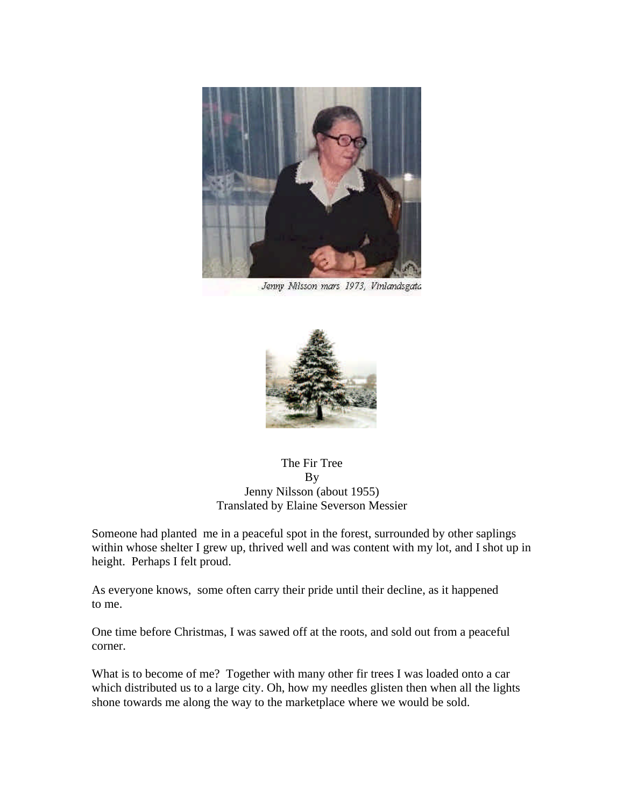

Jenny Milsson mars 1973, Vinlandsgata



The Fir Tree By Jenny Nilsson (about 1955) Translated by Elaine Severson Messier

Someone had planted me in a peaceful spot in the forest, surrounded by other saplings within whose shelter I grew up, thrived well and was content with my lot, and I shot up in height. Perhaps I felt proud.

As everyone knows, some often carry their pride until their decline, as it happened to me.

One time before Christmas, I was sawed off at the roots, and sold out from a peaceful corner.

What is to become of me? Together with many other fir trees I was loaded onto a car which distributed us to a large city. Oh, how my needles glisten then when all the lights shone towards me along the way to the marketplace where we would be sold.